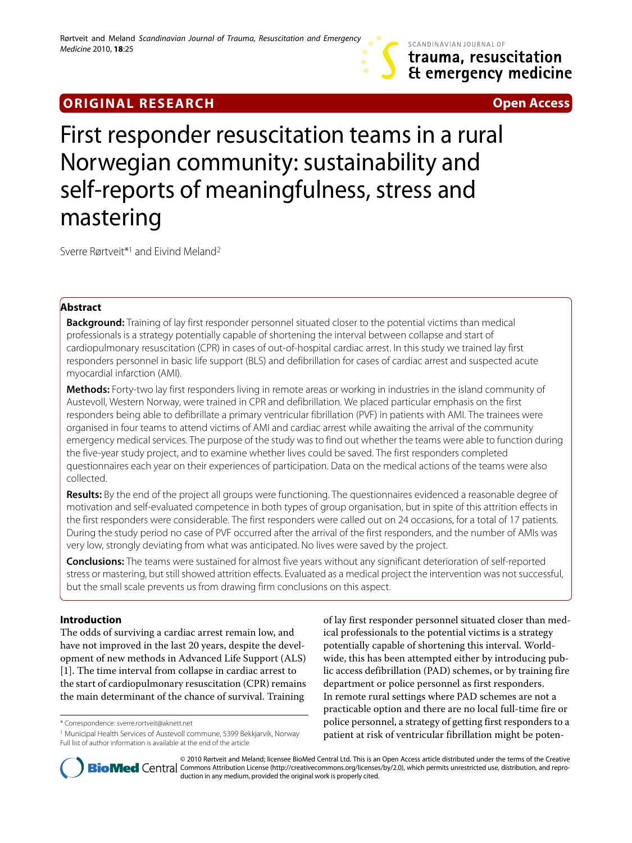## SCANDINAVIAN JOURNAL OF trauma, resuscitation **Et emergency medicine**

# **ORIGINAL RESEARCH Open Access**



First responder resuscitation teams in a rural Norwegian community: sustainability and self-reports of meaningfulness, stress and mastering

Sverre Rørtveit\*1 and Eivind Meland2

## **Abstract**

**Background:** Training of lay first responder personnel situated closer to the potential victims than medical professionals is a strategy potentially capable of shortening the interval between collapse and start of cardiopulmonary resuscitation (CPR) in cases of out-of-hospital cardiac arrest. In this study we trained lay first responders personnel in basic life support (BLS) and defibrillation for cases of cardiac arrest and suspected acute myocardial infarction (AMI).

**Methods:** Forty-two lay first responders living in remote areas or working in industries in the island community of Austevoll, Western Norway, were trained in CPR and defibrillation. We placed particular emphasis on the first responders being able to defibrillate a primary ventricular fibrillation (PVF) in patients with AMI. The trainees were organised in four teams to attend victims of AMI and cardiac arrest while awaiting the arrival of the community emergency medical services. The purpose of the study was to find out whether the teams were able to function during the five-year study project, and to examine whether lives could be saved. The first responders completed questionnaires each year on their experiences of participation. Data on the medical actions of the teams were also collected.

**Results:** By the end of the project all groups were functioning. The questionnaires evidenced a reasonable degree of motivation and self-evaluated competence in both types of group organisation, but in spite of this attrition effects in the first responders were considerable. The first responders were called out on 24 occasions, for a total of 17 patients. During the study period no case of PVF occurred after the arrival of the first responders, and the number of AMIs was very low, strongly deviating from what was anticipated. No lives were saved by the project.

**Conclusions:** The teams were sustained for almost five years without any significant deterioration of self-reported stress or mastering, but still showed attrition effects. Evaluated as a medical project the intervention was not successful, but the small scale prevents us from drawing firm conclusions on this aspect.

## **Introduction**

The odds of surviving a cardiac arrest remain low, and have not improved in the last 20 years, despite the development of new methods in Advanced Life Support (ALS) [[1\]](#page-5-0). The time interval from collapse in cardiac arrest to the start of cardiopulmonary resuscitation (CPR) remains the main determinant of the chance of survival. Training

\* Correspondence: sverre.rortveit@aknett.net

1 Municipal Health Services of Austevoll commune, 5399 Bekkjarvik, Norway Full list of author information is available at the end of the article

of lay first responder personnel situated closer than medical professionals to the potential victims is a strategy potentially capable of shortening this interval. Worldwide, this has been attempted either by introducing public access defibrillation (PAD) schemes, or by training fire department or police personnel as first responders. In remote rural settings where PAD schemes are not a practicable option and there are no local full-time fire or police personnel, a strategy of getting first responders to a patient at risk of ventricular fibrillation might be poten-



© 2010 Rørtveit and Meland; licensee BioMed Central Ltd. This is an Open Access article distributed under the terms of the Creative **Bio Med** Central Commons Attribution License (http://creativecommons.org/licenses/by/2.0), which permits unrestricted use, distribution, and reproduction in any medium, provided the original work is properly cited.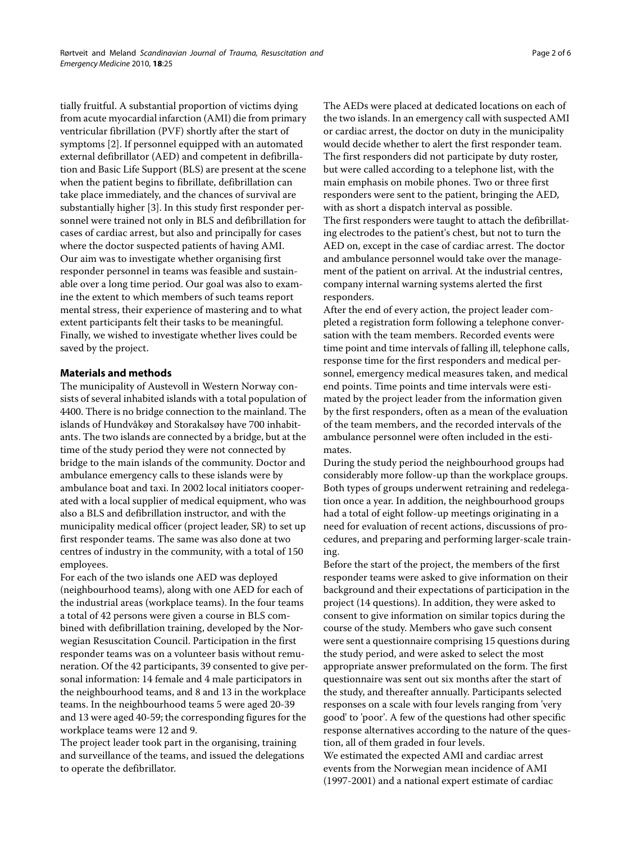tially fruitful. A substantial proportion of victims dying from acute myocardial infarction (AMI) die from primary ventricular fibrillation (PVF) shortly after the start of symptoms [\[2](#page-5-1)]. If personnel equipped with an automated external defibrillator (AED) and competent in defibrillation and Basic Life Support (BLS) are present at the scene when the patient begins to fibrillate, defibrillation can take place immediately, and the chances of survival are substantially higher [[3\]](#page-5-2). In this study first responder personnel were trained not only in BLS and defibrillation for cases of cardiac arrest, but also and principally for cases where the doctor suspected patients of having AMI. Our aim was to investigate whether organising first responder personnel in teams was feasible and sustain-

able over a long time period. Our goal was also to examine the extent to which members of such teams report mental stress, their experience of mastering and to what extent participants felt their tasks to be meaningful. Finally, we wished to investigate whether lives could be saved by the project.

## **Materials and methods**

The municipality of Austevoll in Western Norway consists of several inhabited islands with a total population of 4400. There is no bridge connection to the mainland. The islands of Hundvåkøy and Storakalsøy have 700 inhabitants. The two islands are connected by a bridge, but at the time of the study period they were not connected by bridge to the main islands of the community. Doctor and ambulance emergency calls to these islands were by ambulance boat and taxi. In 2002 local initiators cooperated with a local supplier of medical equipment, who was also a BLS and defibrillation instructor, and with the municipality medical officer (project leader, SR) to set up first responder teams. The same was also done at two centres of industry in the community, with a total of 150 employees.

For each of the two islands one AED was deployed (neighbourhood teams), along with one AED for each of the industrial areas (workplace teams). In the four teams a total of 42 persons were given a course in BLS combined with defibrillation training, developed by the Norwegian Resuscitation Council. Participation in the first responder teams was on a volunteer basis without remuneration. Of the 42 participants, 39 consented to give personal information: 14 female and 4 male participators in the neighbourhood teams, and 8 and 13 in the workplace teams. In the neighbourhood teams 5 were aged 20-39 and 13 were aged 40-59; the corresponding figures for the workplace teams were 12 and 9.

The project leader took part in the organising, training and surveillance of the teams, and issued the delegations to operate the defibrillator.

The AEDs were placed at dedicated locations on each of the two islands. In an emergency call with suspected AMI or cardiac arrest, the doctor on duty in the municipality would decide whether to alert the first responder team. The first responders did not participate by duty roster, but were called according to a telephone list, with the main emphasis on mobile phones. Two or three first responders were sent to the patient, bringing the AED, with as short a dispatch interval as possible. The first responders were taught to attach the defibrillating electrodes to the patient's chest, but not to turn the AED on, except in the case of cardiac arrest. The doctor and ambulance personnel would take over the management of the patient on arrival. At the industrial centres, company internal warning systems alerted the first responders.

After the end of every action, the project leader completed a registration form following a telephone conversation with the team members. Recorded events were time point and time intervals of falling ill, telephone calls, response time for the first responders and medical personnel, emergency medical measures taken, and medical end points. Time points and time intervals were estimated by the project leader from the information given by the first responders, often as a mean of the evaluation of the team members, and the recorded intervals of the ambulance personnel were often included in the estimates.

During the study period the neighbourhood groups had considerably more follow-up than the workplace groups. Both types of groups underwent retraining and redelegation once a year. In addition, the neighbourhood groups had a total of eight follow-up meetings originating in a need for evaluation of recent actions, discussions of procedures, and preparing and performing larger-scale training.

Before the start of the project, the members of the first responder teams were asked to give information on their background and their expectations of participation in the project (14 questions). In addition, they were asked to consent to give information on similar topics during the course of the study. Members who gave such consent were sent a questionnaire comprising 15 questions during the study period, and were asked to select the most appropriate answer preformulated on the form. The first questionnaire was sent out six months after the start of the study, and thereafter annually. Participants selected responses on a scale with four levels ranging from 'very good' to 'poor'. A few of the questions had other specific response alternatives according to the nature of the question, all of them graded in four levels.

We estimated the expected AMI and cardiac arrest events from the Norwegian mean incidence of AMI (1997-2001) and a national expert estimate of cardiac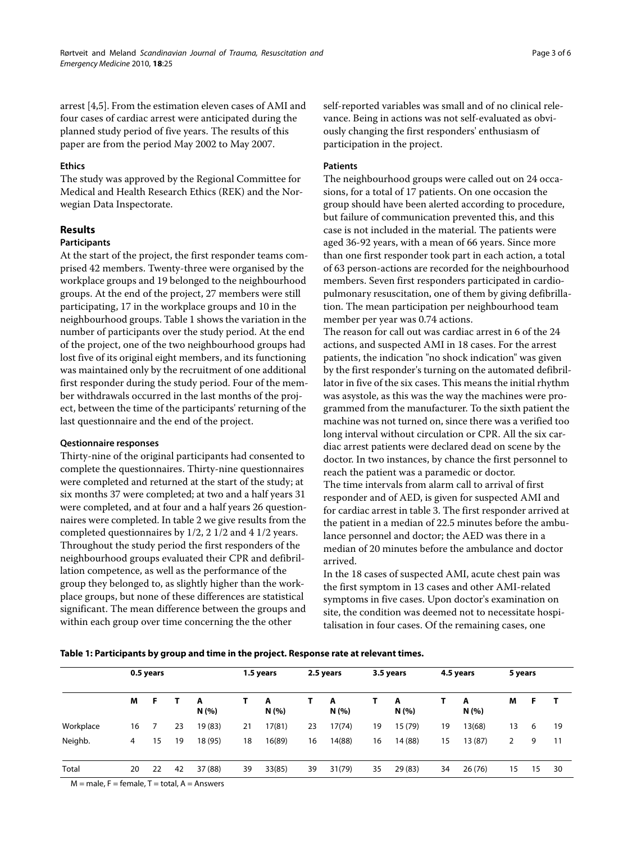arrest [[4](#page-5-3),[5\]](#page-5-4). From the estimation eleven cases of AMI and four cases of cardiac arrest were anticipated during the planned study period of five years. The results of this paper are from the period May 2002 to May 2007.

### **Ethics**

The study was approved by the Regional Committee for Medical and Health Research Ethics (REK) and the Norwegian Data Inspectorate.

## **Results**

## **Participants**

At the start of the project, the first responder teams comprised 42 members. Twenty-three were organised by the workplace groups and 19 belonged to the neighbourhood groups. At the end of the project, 27 members were still participating, 17 in the workplace groups and 10 in the neighbourhood groups. Table [1](#page-2-0) shows the variation in the number of participants over the study period. At the end of the project, one of the two neighbourhood groups had lost five of its original eight members, and its functioning was maintained only by the recruitment of one additional first responder during the study period. Four of the member withdrawals occurred in the last months of the project, between the time of the participants' returning of the last questionnaire and the end of the project.

### **Qestionnaire responses**

Thirty-nine of the original participants had consented to complete the questionnaires. Thirty-nine questionnaires were completed and returned at the start of the study; at six months 37 were completed; at two and a half years 31 were completed, and at four and a half years 26 questionnaires were completed. In table 2 we give results from the completed questionnaires by 1/2, 2 1/2 and 4 1/2 years. Throughout the study period the first responders of the neighbourhood groups evaluated their CPR and defibrillation competence, as well as the performance of the group they belonged to, as slightly higher than the workplace groups, but none of these differences are statistical significant. The mean difference between the groups and within each group over time concerning the the other

self-reported variables was small and of no clinical relevance. Being in actions was not self-evaluated as obviously changing the first responders' enthusiasm of participation in the project.

### **Patients**

The neighbourhood groups were called out on 24 occasions, for a total of 17 patients. On one occasion the group should have been alerted according to procedure, but failure of communication prevented this, and this case is not included in the material. The patients were aged 36-92 years, with a mean of 66 years. Since more than one first responder took part in each action, a total of 63 person-actions are recorded for the neighbourhood members. Seven first responders participated in cardiopulmonary resuscitation, one of them by giving defibrillation. The mean participation per neighbourhood team member per year was 0.74 actions.

The reason for call out was cardiac arrest in 6 of the 24 actions, and suspected AMI in 18 cases. For the arrest patients, the indication "no shock indication" was given by the first responder's turning on the automated defibrillator in five of the six cases. This means the initial rhythm was asystole, as this was the way the machines were programmed from the manufacturer. To the sixth patient the machine was not turned on, since there was a verified too long interval without circulation or CPR. All the six cardiac arrest patients were declared dead on scene by the doctor. In two instances, by chance the first personnel to reach the patient was a paramedic or doctor. The time intervals from alarm call to arrival of first responder and of AED, is given for suspected AMI and for cardiac arrest in table 3. The first responder arrived at the patient in a median of 22.5 minutes before the ambulance personnel and doctor; the AED was there in a median of 20 minutes before the ambulance and doctor arrived.

In the 18 cases of suspected AMI, acute chest pain was the first symptom in 13 cases and other AMI-related symptoms in five cases. Upon doctor's examination on site, the condition was deemed not to necessitate hospitalisation in four cases. Of the remaining cases, one

#### <span id="page-2-0"></span>**Table 1: Participants by group and time in the project. Response rate at relevant times.**

|           | 0.5 years |    |    | 1.5 years  |    | 2.5 years  |    | 3.5 years  |    | 4.5 years  |    | 5 years    |    |    |    |
|-----------|-----------|----|----|------------|----|------------|----|------------|----|------------|----|------------|----|----|----|
|           | м         | F  |    | A<br>N(% ) | т  | A<br>N(% ) | т  | A<br>N (%) |    | A<br>N (%) |    | A<br>N (%) | м  | F  | т  |
| Workplace | 16        |    | 23 | 19 (83)    | 21 | 17(81)     | 23 | 17(74)     | 19 | 15 (79)    | 19 | 13(68)     | 13 | 6  | 19 |
| Neighb.   | 4         | 15 | 19 | 18 (95)    | 18 | 16(89)     | 16 | 14(88)     | 16 | 14 (88)    | 15 | 13 (87)    | 2  | 9  | 11 |
| Total     | 20        | 22 | 42 | 37 (88)    | 39 | 33(85)     | 39 | 31(79)     | 35 | 29 (83)    | 34 | 26(76)     | 15 | 15 | 30 |

 $M =$  male, F = female, T = total, A = Answers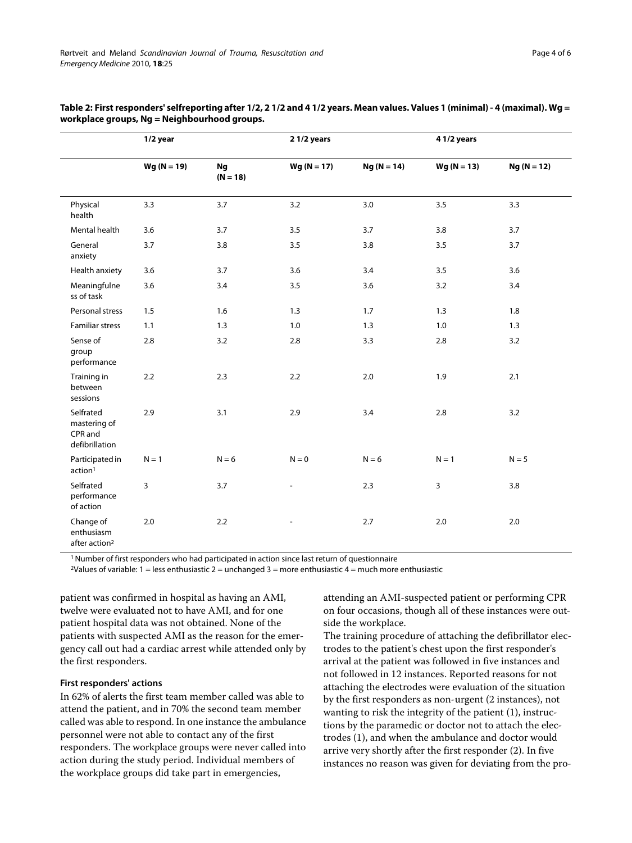|                                                        | 1/2 year     |                         | 21/2 years               |               | 4 1/2 years  |               |  |  |
|--------------------------------------------------------|--------------|-------------------------|--------------------------|---------------|--------------|---------------|--|--|
|                                                        | $Wg(N = 19)$ | <b>Ng</b><br>$(N = 18)$ | $Wg(N = 17)$             | $Ng (N = 14)$ | $Wg(N = 13)$ | $Ng (N = 12)$ |  |  |
| Physical<br>health                                     | 3.3          | 3.7                     | 3.2                      | 3.0           | 3.5          | 3.3           |  |  |
| Mental health                                          | 3.6          | 3.7                     | 3.5                      | 3.7           | 3.8          | 3.7           |  |  |
| General<br>anxiety                                     | 3.7          | 3.8                     | 3.5                      | 3.8           | 3.5          | 3.7           |  |  |
| Health anxiety                                         | 3.6          | 3.7                     | 3.6                      | 3.4           | 3.5          | 3.6           |  |  |
| Meaningfulne<br>ss of task                             | 3.6          | 3.4                     | 3.5                      | 3.6           | 3.2          | 3.4           |  |  |
| Personal stress                                        | 1.5          | 1.6                     | 1.3                      | 1.7           | 1.3          | 1.8           |  |  |
| <b>Familiar stress</b>                                 | 1.1          | 1.3                     | 1.0                      | 1.3           | 1.0          | 1.3           |  |  |
| Sense of<br>group<br>performance                       | 2.8          | 3.2                     | 2.8                      | 3.3           | 2.8          | 3.2           |  |  |
| Training in<br>between<br>sessions                     | 2.2          | 2.3                     | 2.2                      | 2.0           | 1.9          | 2.1           |  |  |
| Selfrated<br>mastering of<br>CPR and<br>defibrillation | 2.9          | 3.1                     | 2.9                      | 3.4           | 2.8          | 3.2           |  |  |
| Participated in<br>action <sup>1</sup>                 | $N = 1$      | $N = 6$                 | $N = 0$                  | $N = 6$       | $N = 1$      | $N = 5$       |  |  |
| Selfrated<br>performance<br>of action                  | 3            | 3.7                     | $\overline{\phantom{a}}$ | 2.3           | 3            | 3.8           |  |  |
| Change of<br>enthusiasm<br>after action <sup>2</sup>   | 2.0          | 2.2                     | $\overline{\phantom{a}}$ | 2.7           | 2.0          | 2.0           |  |  |

**Table 2: First responders' selfreporting after 1/2, 2 1/2 and 4 1/2 years. Mean values. Values 1 (minimal) - 4 (maximal). Wg = workplace groups, Ng = Neighbourhood groups.**

1 Number of first responders who had participated in action since last return of questionnaire

<sup>2</sup>Values of variable: 1 = less enthusiastic 2 = unchanged 3 = more enthusiastic 4 = much more enthusiastic

patient was confirmed in hospital as having an AMI, twelve were evaluated not to have AMI, and for one patient hospital data was not obtained. None of the patients with suspected AMI as the reason for the emergency call out had a cardiac arrest while attended only by the first responders.

## **First responders' actions**

In 62% of alerts the first team member called was able to attend the patient, and in 70% the second team member called was able to respond. In one instance the ambulance personnel were not able to contact any of the first responders. The workplace groups were never called into action during the study period. Individual members of the workplace groups did take part in emergencies,

attending an AMI-suspected patient or performing CPR on four occasions, though all of these instances were outside the workplace.

The training procedure of attaching the defibrillator electrodes to the patient's chest upon the first responder's arrival at the patient was followed in five instances and not followed in 12 instances. Reported reasons for not attaching the electrodes were evaluation of the situation by the first responders as non-urgent (2 instances), not wanting to risk the integrity of the patient (1), instructions by the paramedic or doctor not to attach the electrodes (1), and when the ambulance and doctor would arrive very shortly after the first responder (2). In five instances no reason was given for deviating from the pro-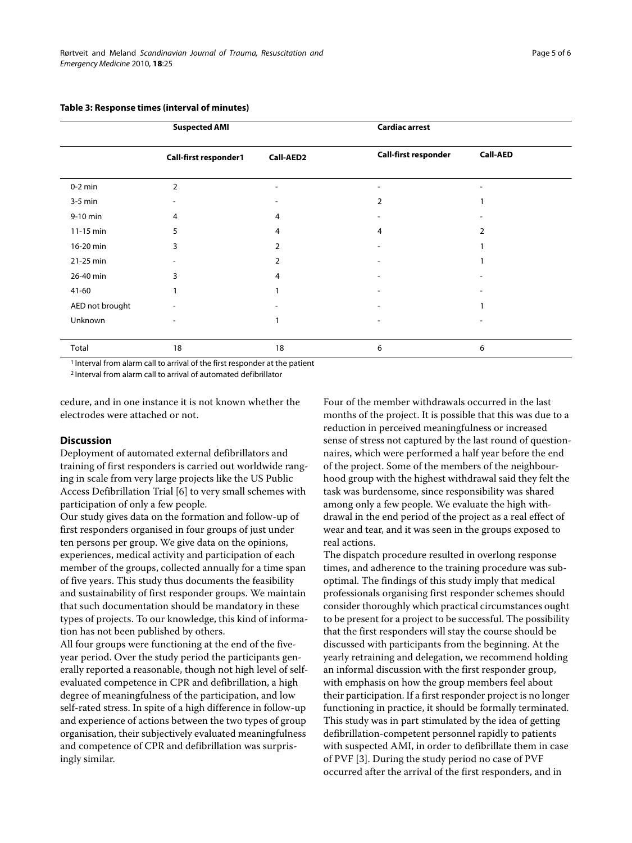|                 | <b>Suspected AMI</b>  |               | <b>Cardiac arrest</b>       |                 |  |  |
|-----------------|-----------------------|---------------|-----------------------------|-----------------|--|--|
|                 | Call-first responder1 | Call-AED2     | <b>Call-first responder</b> | <b>Call-AED</b> |  |  |
| $0-2$ min       | $\overline{2}$        |               |                             |                 |  |  |
| $3-5$ min       |                       |               | 2                           |                 |  |  |
| 9-10 min        | 4                     | 4             |                             |                 |  |  |
| 11-15 min       | 5                     | 4             | 4                           | 2               |  |  |
| 16-20 min       | 3                     | 2             |                             |                 |  |  |
| 21-25 min       |                       | $\mathcal{P}$ |                             |                 |  |  |
| 26-40 min       | 3                     | 4             |                             |                 |  |  |
| 41-60           |                       |               |                             |                 |  |  |
| AED not brought |                       |               |                             |                 |  |  |
| Unknown         |                       |               |                             |                 |  |  |
| Total           | 18                    | 18            | 6                           | 6               |  |  |

### **Table 3: Response times (interval of minutes)**

1 Interval from alarm call to arrival of the first responder at the patient

2 Interval from alarm call to arrival of automated defibrillator

cedure, and in one instance it is not known whether the electrodes were attached or not.

## **Discussion**

Deployment of automated external defibrillators and training of first responders is carried out worldwide ranging in scale from very large projects like the US Public Access Defibrillation Trial [[6\]](#page-5-5) to very small schemes with participation of only a few people.

Our study gives data on the formation and follow-up of first responders organised in four groups of just under ten persons per group. We give data on the opinions, experiences, medical activity and participation of each member of the groups, collected annually for a time span of five years. This study thus documents the feasibility and sustainability of first responder groups. We maintain that such documentation should be mandatory in these types of projects. To our knowledge, this kind of information has not been published by others.

All four groups were functioning at the end of the fiveyear period. Over the study period the participants generally reported a reasonable, though not high level of selfevaluated competence in CPR and defibrillation, a high degree of meaningfulness of the participation, and low self-rated stress. In spite of a high difference in follow-up and experience of actions between the two types of group organisation, their subjectively evaluated meaningfulness and competence of CPR and defibrillation was surprisingly similar.

Four of the member withdrawals occurred in the last months of the project. It is possible that this was due to a reduction in perceived meaningfulness or increased sense of stress not captured by the last round of questionnaires, which were performed a half year before the end of the project. Some of the members of the neighbourhood group with the highest withdrawal said they felt the task was burdensome, since responsibility was shared among only a few people. We evaluate the high withdrawal in the end period of the project as a real effect of wear and tear, and it was seen in the groups exposed to real actions.

The dispatch procedure resulted in overlong response times, and adherence to the training procedure was suboptimal. The findings of this study imply that medical professionals organising first responder schemes should consider thoroughly which practical circumstances ought to be present for a project to be successful. The possibility that the first responders will stay the course should be discussed with participants from the beginning. At the yearly retraining and delegation, we recommend holding an informal discussion with the first responder group, with emphasis on how the group members feel about their participation. If a first responder project is no longer functioning in practice, it should be formally terminated. This study was in part stimulated by the idea of getting defibrillation-competent personnel rapidly to patients with suspected AMI, in order to defibrillate them in case of PVF [\[3](#page-5-2)]. During the study period no case of PVF occurred after the arrival of the first responders, and in